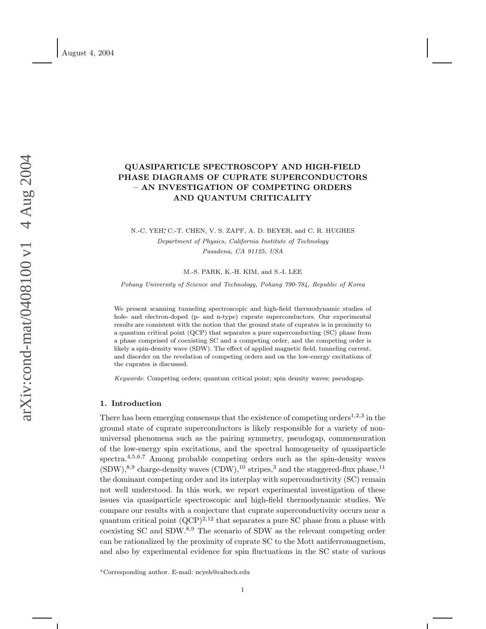# QUASIPARTICLE SPECTROSCOPY AND HIGH-FIELD PHASE DIAGRAMS OF CUPRATE SUPERCONDUCTORS – AN INVESTIGATION OF COMPETING ORDERS AND QUANTUM CRITICALITY

# N.-C. YEH<sup>\*</sup>, C.-T. CHEN, V. S. ZAPF, A. D. BEYER, and C. R. HUGHES Department of Physics, California Institute of Technology Pasadena, CA 91125, USA

M.-S. PARK, K.-H. KIM, and S.-I. LEE

Pohang University of Science and Technology, Pohang 790-784, Republic of Korea

We present scanning tunneling spectroscopic and high-field thermodynamic studies of hole- and electron-doped (p- and n-type) cuprate superconductors. Our experimental results are consistent with the notion that the ground state of cuprates is in proximity to a quantum critical point (QCP) that separates a pure superconducting (SC) phase from a phase comprised of coexisting SC and a competing order, and the competing order is likely a spin-density wave (SDW). The effect of applied magnetic field, tunneling current, and disorder on the revelation of competing orders and on the low-energy excitations of the cuprates is discussed.

Keywords: Competing orders; quantum critical point; spin density waves; pseudogap.

## 1. Introduction

There has been emerging consensus that the existence of competing orders<sup>1,2,3</sup> in the ground state of cuprate superconductors is likely responsible for a variety of nonuniversal phenomena such as the pairing symmetry, pseudogap, commensuration of the low-energy spin excitations, and the spectral homogeneity of quasiparticle spectra.<sup>4,5,6,7</sup> Among probable competing orders such as the spin-density waves  $(SDW)$ ,<sup>8,9</sup> charge-density waves  $(CDW)$ ,<sup>10</sup> stripes,<sup>3</sup> and the staggered-flux phase,<sup>11</sup> the dominant competing order and its interplay with superconductivity (SC) remain not well understood. In this work, we report experimental investigation of these issues via quasiparticle spectroscopic and high-field thermodynamic studies. We compare our results with a conjecture that cuprate superconductivity occurs near a quantum critical point  $(QCP)^{2,12}$  that separates a pure SC phase from a phase with coexisting SC and SDW.<sup>8,9</sup> The scenario of SDW as the relevant competing order can be rationalized by the proximity of cuprate SC to the Mott antiferromagnetism, and also by experimental evidence for spin fluctuations in the SC state of various

<sup>∗</sup>Corresponding author. E-mail: ncyeh@caltech.edu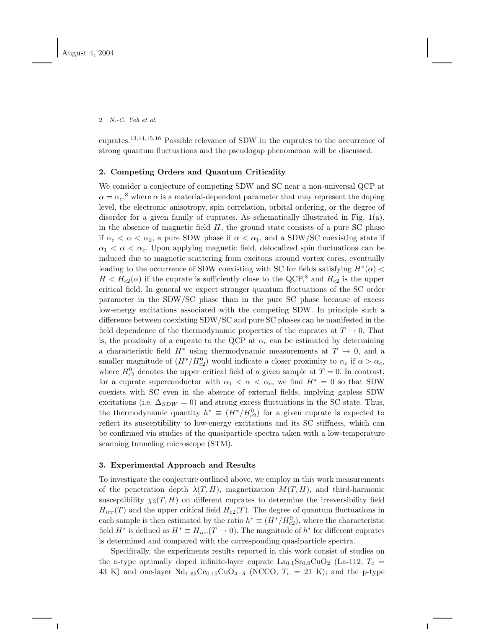cuprates.13,14,15,<sup>16</sup> Possible relevance of SDW in the cuprates to the occurrence of strong quantum fluctuations and the pseudogap phenomenon will be discussed.

# 2. Competing Orders and Quantum Criticality

We consider a conjecture of competing SDW and SC near a non-universal QCP at  $\alpha = \alpha_c$ <sup>8</sup>, where  $\alpha$  is a material-dependent parameter that may represent the doping level, the electronic anisotropy, spin correlation, orbital ordering, or the degree of disorder for a given family of cuprates. As schematically illustrated in Fig. 1(a), in the absence of magnetic field  $H$ , the ground state consists of a pure SC phase if  $\alpha_c < \alpha < \alpha_2$ , a pure SDW phase if  $\alpha < \alpha_1$ , and a SDW/SC coexisting state if  $\alpha_1 < \alpha < \alpha_c$ . Upon applying magnetic field, delocalized spin fluctuations can be induced due to magnetic scattering from excitons around vortex cores, eventually leading to the occurrence of SDW coexisting with SC for fields satisfying  $H^*(\alpha)$  <  $H < H_{c2}(\alpha)$  if the cuprate is sufficiently close to the QCP,<sup>8</sup> and  $H_{c2}$  is the upper critical field. In general we expect stronger quantum fluctuations of the SC order parameter in the SDW/SC phase than in the pure SC phase because of excess low-energy excitations associated with the competing SDW. In principle such a difference between coexisting SDW/SC and pure SC phases can be manifested in the field dependence of the thermodynamic properties of the cuprates at  $T \to 0$ . That is, the proximity of a cuprate to the QCP at  $\alpha_c$  can be estimated by determining a characteristic field  $H^*$  using thermodynamic measurements at  $T \to 0$ , and a smaller magnitude of  $(H^*/H_{c2}^0)$  would indicate a closer proximity to  $\alpha_c$  if  $\alpha > \alpha_c$ , where  $H_{c2}^0$  denotes the upper critical field of a given sample at  $T=0$ . In contrast, for a cuprate superconductor with  $\alpha_1 < \alpha < \alpha_c$ , we find  $H^* = 0$  so that SDW coexists with SC even in the absence of external fields, implying gapless SDW excitations (i.e.  $\Delta_{SDW} = 0$ ) and strong excess fluctuations in the SC state. Thus, the thermodynamic quantity  $h^* \equiv (H^*/H_{c2}^0)$  for a given cuprate is expected to reflect its susceptibility to low-energy excitations and its SC stiffness, which can be confirmed via studies of the quasiparticle spectra taken with a low-temperature scanning tunneling microscope (STM).

### 3. Experimental Approach and Results

To investigate the conjecture outlined above, we employ in this work measurements of the penetration depth  $\lambda(T, H)$ , magnetization  $M(T, H)$ , and third-harmonic susceptibility  $\chi_3(T, H)$  on different cuprates to determine the irreversibility field  $H_{irr}(T)$  and the upper critical field  $H_{c2}(T)$ . The degree of quantum fluctuations in each sample is then estimated by the ratio  $h^* \equiv (H^*/H_{c2}^0)$ , where the characteristic field  $H^*$  is defined as  $H^* \equiv H_{irr}(T \to 0)$ . The magnitude of  $h^*$  for different cuprates is determined and compared with the corresponding quasiparticle spectra.

Specifically, the experiments results reported in this work consist of studies on the n-type optimally doped infinite-layer cuprate  $\text{La}_{0.1}\text{Sr}_{0.9}\text{CuO}_2$  (La-112,  $T_c$  = 43 K) and one-layer Nd<sub>1.85</sub>Ce<sub>0.15</sub>CuO<sub>4−δ</sub> (NCCO,  $T_c = 21$  K); and the p-type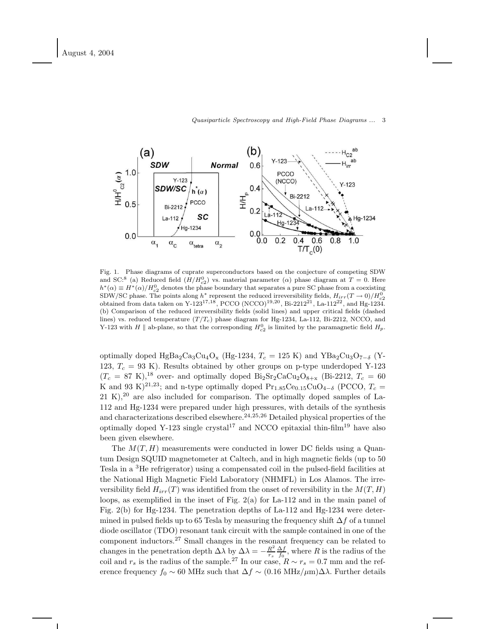

Fig. 1. Phase diagrams of cuprate superconductors based on the conjecture of competing SDW and SC:<sup>8</sup> (a) Reduced field  $(H/H_{c2}^0)$  vs. material parameter ( $\alpha$ ) phase diagram at  $T=0$ . Here  $h^*(\alpha) \equiv H^*(\alpha)/H_{c2}^0$  denotes the phase boundary that separates a pure SC phase from a coexisting SDW/SC phase. The points along  $h^*$  represent the reduced irreversibility fields,  $H_{irr}(T \to 0)/H_{c2}^0$ obtained from data taken on Y-123<sup>17,18</sup>, PCCO (NCCO)<sup>19,20</sup>, Bi-2212<sup>21</sup>, La-112<sup>22</sup>, and Hg-1234. (b) Comparison of the reduced irreversibility fields (solid lines) and upper critical fields (dashed lines) vs. reduced temperature  $(T/T_c)$  phase diagram for Hg-1234, La-112, Bi-2212, NCCO, and Y-123 with H || ab-plane, so that the corresponding  $H_{c2}^0$  is limited by the paramagnetic field  $H_p$ .

optimally doped HgBa<sub>2</sub>Ca<sub>3</sub>Cu<sub>4</sub>O<sub>x</sub> (Hg-1234,  $T_c = 125$  K) and YBa<sub>2</sub>Cu<sub>3</sub>O<sub>7−δ</sub> (Y-123,  $T_c = 93$  K). Results obtained by other groups on p-type underdoped Y-123  $(T_c = 87 \text{ K})$ ,<sup>18</sup> over- and optimally doped Bi<sub>2</sub>Sr<sub>2</sub>CaCu<sub>2</sub>O<sub>8+x</sub> (Bi-2212,  $T_c = 60$ ) K and 93 K)<sup>21,23</sup>; and n-type optimally doped Pr<sub>1.85</sub>Ce<sub>0.15</sub>CuO<sub>4−δ</sub> (PCCO,  $T_c$  =  $21 K$ ,<sup>20</sup> are also included for comparison. The optimally doped samples of La-112 and Hg-1234 were prepared under high pressures, with details of the synthesis and characterizations described elsewhere.<sup>24,25,26</sup> Detailed physical properties of the optimally doped Y-123 single crystal<sup>17</sup> and NCCO epitaxial thin-film<sup>19</sup> have also been given elsewhere.

The  $M(T, H)$  measurements were conducted in lower DC fields using a Quantum Design SQUID magnetometer at Caltech, and in high magnetic fields (up to 50 Tesla in a <sup>3</sup>He refrigerator) using a compensated coil in the pulsed-field facilities at the National High Magnetic Field Laboratory (NHMFL) in Los Alamos. The irreversibility field  $H_{irr}(T)$  was identified from the onset of reversibility in the  $M(T, H)$ loops, as exemplified in the inset of Fig.  $2(a)$  for La-112 and in the main panel of Fig. 2(b) for Hg-1234. The penetration depths of La-112 and Hg-1234 were determined in pulsed fields up to 65 Tesla by measuring the frequency shift  $\Delta f$  of a tunnel diode oscillator (TDO) resonant tank circuit with the sample contained in one of the component inductors.<sup>27</sup> Small changes in the resonant frequency can be related to changes in the penetration depth  $\Delta \lambda$  by  $\Delta \lambda = -\frac{R^2}{r_s} \frac{\Delta f}{f_0}$ , where R is the radius of the coil and  $r_s$  is the radius of the sample.<sup>27</sup> In our case,  $R \sim r_s = 0.7$  mm and the reference frequency  $f_0 \sim 60$  MHz such that  $\Delta f \sim (0.16 \text{ MHz}/\mu\text{m})\Delta\lambda$ . Further details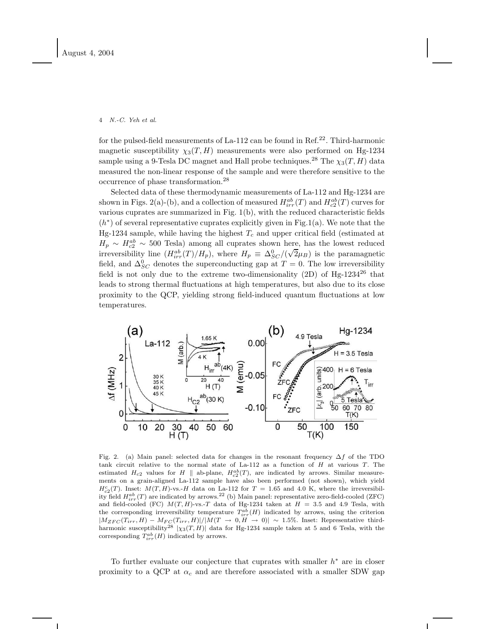for the pulsed-field measurements of La-112 can be found in Ref.<sup>22</sup>. Third-harmonic magnetic susceptibility  $\chi_3(T, H)$  measurements were also performed on Hg-1234 sample using a 9-Tesla DC magnet and Hall probe techniques.<sup>28</sup> The  $\chi_3(T, H)$  data measured the non-linear response of the sample and were therefore sensitive to the occurrence of phase transformation.<sup>28</sup>

Selected data of these thermodynamic measurements of La-112 and Hg-1234 are shown in Figs. 2(a)-(b), and a collection of measured  $H^{ab}_{irr}(T)$  and  $H^{ab}_{c2}(T)$  curves for various cuprates are summarized in Fig. 1(b), with the reduced characteristic fields  $(h^*)$  of several representative cuprates explicitly given in Fig.1(a). We note that the Hg-1234 sample, while having the highest  $T_c$  and upper critical field (estimated at  $H_p \sim H_{c2}^{ab} \sim 500$  Tesla) among all cuprates shown here, has the lowest reduced irreversibility line  $(H^{ab}_{irr}(T)/H_p)$ , where  $H_p \equiv \Delta_{SC}^0/(\sqrt{2}\mu_B)$  is the paramagnetic field, and  $\Delta_{SC}^0$  denotes the superconducting gap at  $T = 0$ . The low irreversibility field is not only due to the extreme two-dimensionality  $(2D)$  of Hg-1234<sup>26</sup> that leads to strong thermal fluctuations at high temperatures, but also due to its close proximity to the QCP, yielding strong field-induced quantum fluctuations at low temperatures.



Fig. 2. (a) Main panel: selected data for changes in the resonant frequency  $\Delta f$  of the TDO tank circuit relative to the normal state of  $La-112$  as a function of  $H$  at various  $T$ . The estimated  $H_{c2}$  values for H || ab-plane,  $H_{c2}^{ab}(T)$ , are indicated by arrows. Similar measurements on a grain-aligned La-112 sample have also been performed (not shown), which yield  $H_{c2}^{c}(T)$ . Inset:  $M(T, H)$ -vs.-H data on La-112 for  $T = 1.65$  and 4.0 K, where the irreversibility field  $H^{ab}_{irr}(T)$  are indicated by arrows.<sup>22</sup> (b) Main panel: representative zero-field-cooled (ZFC) and field-cooled (FC)  $M(T, H)$ -vs.-T data of Hg-1234 taken at  $H = 3.5$  and 4.9 Tesla, with the corresponding irreversibility temperature  $T_{irr}^{ab}(H)$  indicated by arrows, using the criterion  $|M_{ZFC}(T_{irr}, H) - M_{FC}(T_{irr}, H)|/|M(T \rightarrow 0, H \rightarrow 0)| \sim 1.5\%$ . Inset: Representative thirdharmonic susceptibility<sup>28</sup>  $|\chi_3(T,H)|$  data for Hg-1234 sample taken at 5 and 6 Tesla, with the corresponding  $T_{irr}^{ab}(H)$  indicated by arrows.

To further evaluate our conjecture that cuprates with smaller  $h^*$  are in closer proximity to a QCP at  $\alpha_c$  and are therefore associated with a smaller SDW gap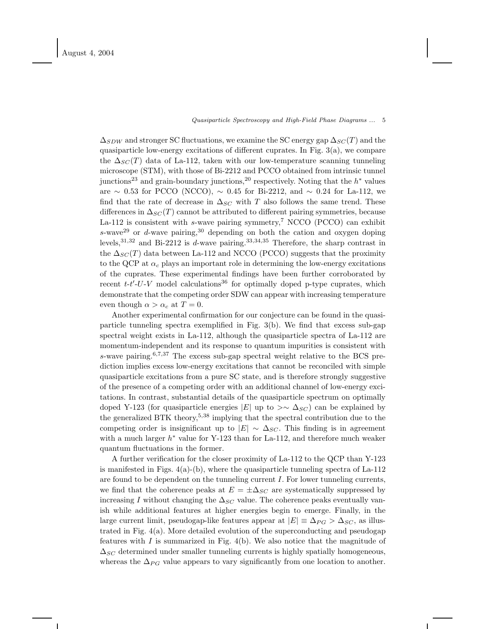$\Delta_{SDW}$  and stronger SC fluctuations, we examine the SC energy gap  $\Delta_{SC}(T)$  and the quasiparticle low-energy excitations of different cuprates. In Fig.  $3(a)$ , we compare the  $\Delta_{SC}(T)$  data of La-112, taken with our low-temperature scanning tunneling microscope (STM), with those of Bi-2212 and PCCO obtained from intrinsic tunnel junctions<sup>23</sup> and grain-boundary junctions,<sup>20</sup> respectively. Noting that the  $h^*$  values are  $\sim$  0.53 for PCCO (NCCO),  $\sim$  0.45 for Bi-2212, and  $\sim$  0.24 for La-112, we find that the rate of decrease in  $\Delta_{SC}$  with T also follows the same trend. These differences in  $\Delta_{SC}(T)$  cannot be attributed to different pairing symmetries, because La-112 is consistent with  $s$ -wave pairing symmetry,<sup>7</sup> NCCO (PCCO) can exhibit s-wave<sup>29</sup> or d-wave pairing,<sup>30</sup> depending on both the cation and oxygen doping levels,  $31,32$  and Bi-2212 is d-wave pairing.  $33,34,35$  Therefore, the sharp contrast in the  $\Delta_{SC}(T)$  data between La-112 and NCCO (PCCO) suggests that the proximity to the QCP at  $\alpha_c$  plays an important role in determining the low-energy excitations of the cuprates. These experimental findings have been further corroborated by recent  $t-t'-U-V$  model calculations<sup>36</sup> for optimally doped p-type cuprates, which demonstrate that the competing order SDW can appear with increasing temperature even though  $\alpha > \alpha_c$  at  $T = 0$ .

Another experimental confirmation for our conjecture can be found in the quasiparticle tunneling spectra exemplified in Fig. 3(b). We find that excess sub-gap spectral weight exists in La-112, although the quasiparticle spectra of La-112 are momentum-independent and its response to quantum impurities is consistent with s-wave pairing.<sup>6,7,37</sup> The excess sub-gap spectral weight relative to the BCS prediction implies excess low-energy excitations that cannot be reconciled with simple quasiparticle excitations from a pure SC state, and is therefore strongly suggestive of the presence of a competing order with an additional channel of low-energy excitations. In contrast, substantial details of the quasiparticle spectrum on optimally doped Y-123 (for quasiparticle energies |E| up to >∼  $\Delta_{SC}$ ) can be explained by the generalized BTK theory,  $5.38$  implying that the spectral contribution due to the competing order is insignificant up to  $|E| \sim \Delta_{SC}$ . This finding is in agreement with a much larger  $h^*$  value for Y-123 than for La-112, and therefore much weaker quantum fluctuations in the former.

A further verification for the closer proximity of La-112 to the QCP than Y-123 is manifested in Figs.  $4(a)-(b)$ , where the quasiparticle tunneling spectra of La-112 are found to be dependent on the tunneling current  $I$ . For lower tunneling currents, we find that the coherence peaks at  $E = \pm \Delta_{SC}$  are systematically suppressed by increasing I without changing the  $\Delta_{SC}$  value. The coherence peaks eventually vanish while additional features at higher energies begin to emerge. Finally, in the large current limit, pseudogap-like features appear at  $|E| \equiv \Delta_{PG} > \Delta_{SG}$ , as illustrated in Fig. 4(a). More detailed evolution of the superconducting and pseudogap features with  $I$  is summarized in Fig. 4(b). We also notice that the magnitude of  $\Delta_{SC}$  determined under smaller tunneling currents is highly spatially homogeneous, whereas the  $\Delta_{PG}$  value appears to vary significantly from one location to another.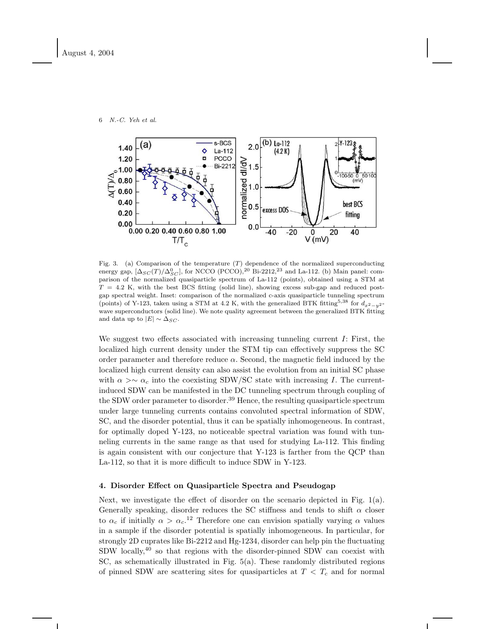

Fig. 3. (a) Comparison of the temperature  $(T)$  dependence of the normalized superconducting energy gap,  $[\Delta_{SC}(T)/\Delta_{SC}^0]$ , for NCCO (PCCO),<sup>20</sup> Bi-2212,<sup>23</sup> and La-112. (b) Main panel: comparison of the normalized quasiparticle spectrum of La-112 (points), obtained using a STM at  $T = 4.2$  K, with the best BCS fitting (solid line), showing excess sub-gap and reduced postgap spectral weight. Inset: comparison of the normalized c-axis quasiparticle tunneling spectrum (points) of Y-123, taken using a STM at 4.2 K, with the generalized BTK fitting<sup>5,38</sup> for  $d_{x^2-y^2}$ wave superconductors (solid line). We note quality agreement between the generalized BTK fitting and data up to  $|E| \sim \Delta_{SC}$ .

We suggest two effects associated with increasing tunneling current  $I$ : First, the localized high current density under the STM tip can effectively suppress the SC order parameter and therefore reduce  $\alpha$ . Second, the magnetic field induced by the localized high current density can also assist the evolution from an initial SC phase with  $\alpha > \infty$  ac into the coexisting SDW/SC state with increasing I. The currentinduced SDW can be manifested in the DC tunneling spectrum through coupling of the SDW order parameter to disorder.<sup>39</sup> Hence, the resulting quasiparticle spectrum under large tunneling currents contains convoluted spectral information of SDW, SC, and the disorder potential, thus it can be spatially inhomogeneous. In contrast, for optimally doped Y-123, no noticeable spectral variation was found with tunneling currents in the same range as that used for studying La-112. This finding is again consistent with our conjecture that Y-123 is farther from the QCP than La-112, so that it is more difficult to induce SDW in Y-123.

# 4. Disorder Effect on Quasiparticle Spectra and Pseudogap

Next, we investigate the effect of disorder on the scenario depicted in Fig.  $1(a)$ . Generally speaking, disorder reduces the SC stiffness and tends to shift  $\alpha$  closer to  $\alpha_c$  if initially  $\alpha > \alpha_c$ <sup>12</sup> Therefore one can envision spatially varying  $\alpha$  values in a sample if the disorder potential is spatially inhomogeneous. In particular, for strongly 2D cuprates like Bi-2212 and Hg-1234, disorder can help pin the fluctuating SDW locally,<sup>40</sup> so that regions with the disorder-pinned SDW can coexist with SC, as schematically illustrated in Fig. 5(a). These randomly distributed regions of pinned SDW are scattering sites for quasiparticles at  $T < T_c$  and for normal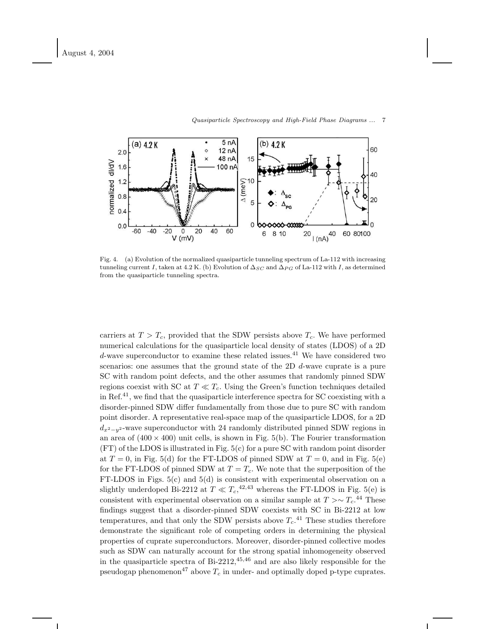

Fig. 4. (a) Evolution of the normalized quasiparticle tunneling spectrum of La-112 with increasing tunneling current I, taken at 4.2 K. (b) Evolution of  $\Delta_{SC}$  and  $\Delta_{PG}$  of La-112 with I, as determined from the quasiparticle tunneling spectra.

carriers at  $T > T_c$ , provided that the SDW persists above  $T_c$ . We have performed numerical calculations for the quasiparticle local density of states (LDOS) of a 2D d-wave superconductor to examine these related issues.<sup>41</sup> We have considered two scenarios: one assumes that the ground state of the 2D d-wave cuprate is a pure SC with random point defects, and the other assumes that randomly pinned SDW regions coexist with SC at  $T \ll T_c$ . Using the Green's function techniques detailed in Ref.<sup>41</sup>, we find that the quasiparticle interference spectra for SC coexisting with a disorder-pinned SDW differ fundamentally from those due to pure SC with random point disorder. A representative real-space map of the quasiparticle LDOS, for a 2D  $d_{x^2-y^2}$ -wave superconductor with 24 randomly distributed pinned SDW regions in an area of  $(400 \times 400)$  unit cells, is shown in Fig. 5(b). The Fourier transformation  $(FT)$  of the LDOS is illustrated in Fig.  $5(c)$  for a pure SC with random point disorder at  $T = 0$ , in Fig. 5(d) for the FT-LDOS of pinned SDW at  $T = 0$ , and in Fig. 5(e) for the FT-LDOS of pinned SDW at  $T = T_c$ . We note that the superposition of the FT-LDOS in Figs. 5(c) and 5(d) is consistent with experimental observation on a slightly underdoped Bi-2212 at  $T \ll T_c$ ,<sup>42,43</sup> whereas the FT-LDOS in Fig. 5(e) is consistent with experimental observation on a similar sample at  $T > \sim T_c$ .<sup>44</sup> These findings suggest that a disorder-pinned SDW coexists with SC in Bi-2212 at low temperatures, and that only the SDW persists above  $T_c$ .<sup>41</sup> These studies therefore demonstrate the significant role of competing orders in determining the physical properties of cuprate superconductors. Moreover, disorder-pinned collective modes such as SDW can naturally account for the strong spatial inhomogeneity observed in the quasiparticle spectra of  $Bi-2212$ ,  $45,46$  and are also likely responsible for the pseudogap phenomenon<sup>47</sup> above  $T_c$  in under- and optimally doped p-type cuprates.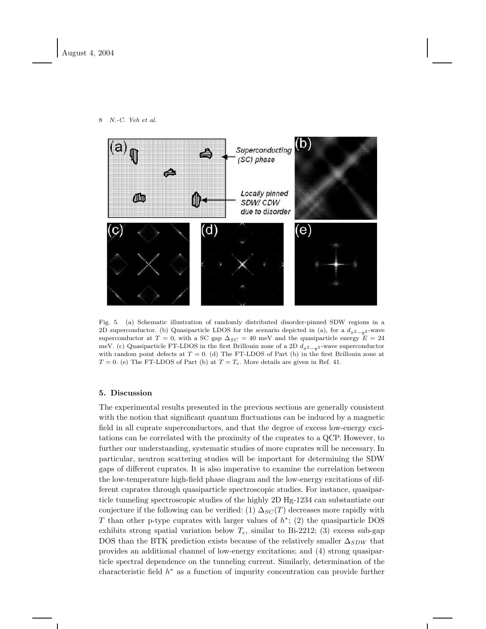

8 N.-C. Yeh et al.

Fig. 5. (a) Schematic illustration of randomly distributed disorder-pinned SDW regions in a 2D superconductor. (b) Quasiparticle LDOS for the scenario depicted in (a), for a  $d_{x^2-y^2}$ -wave superconductor at  $T = 0$ , with a SC gap  $\Delta_{SC} = 40$  meV and the quasiparticle energy  $E = 24$ meV. (c) Quasiparticle FT-LDOS in the first Brillouin zone of a 2D  $d_{x^2-y^2}$ -wave superconductor with random point defects at  $T = 0$ . (d) The FT-LDOS of Part (b) in the first Brillouin zone at  $T = 0$ . (e) The FT-LDOS of Part (b) at  $T = T_c$ . More details are given in Ref. 41.

# 5. Discussion

The experimental results presented in the previous sections are generally consistent with the notion that significant quantum fluctuations can be induced by a magnetic field in all cuprate superconductors, and that the degree of excess low-energy excitations can be correlated with the proximity of the cuprates to a QCP. However, to further our understanding, systematic studies of more cuprates will be necessary. In particular, neutron scattering studies will be important for determining the SDW gaps of different cuprates. It is also imperative to examine the correlation between the low-temperature high-field phase diagram and the low-energy excitations of different cuprates through quasiparticle spectroscopic studies. For instance, quasiparticle tunneling spectroscopic studies of the highly 2D Hg-1234 can substantiate our conjecture if the following can be verified: (1)  $\Delta_{SC}(T)$  decreases more rapidly with T than other p-type cuprates with larger values of  $h^*$ ; (2) the quasiparticle DOS exhibits strong spatial variation below  $T_c$ , similar to Bi-2212; (3) excess sub-gap DOS than the BTK prediction exists because of the relatively smaller  $\Delta_{SDW}$  that provides an additional channel of low-energy excitations; and (4) strong quasiparticle spectral dependence on the tunneling current. Similarly, determination of the characteristic field  $h^*$  as a function of impurity concentration can provide further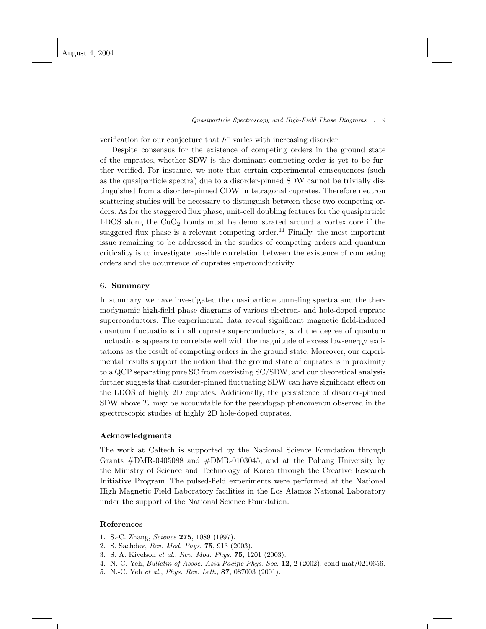verification for our conjecture that  $h^*$  varies with increasing disorder.

Despite consensus for the existence of competing orders in the ground state of the cuprates, whether SDW is the dominant competing order is yet to be further verified. For instance, we note that certain experimental consequences (such as the quasiparticle spectra) due to a disorder-pinned SDW cannot be trivially distinguished from a disorder-pinned CDW in tetragonal cuprates. Therefore neutron scattering studies will be necessary to distinguish between these two competing orders. As for the staggered flux phase, unit-cell doubling features for the quasiparticle LDOS along the  $CuO<sub>2</sub>$  bonds must be demonstrated around a vortex core if the staggered flux phase is a relevant competing order.<sup>11</sup> Finally, the most important issue remaining to be addressed in the studies of competing orders and quantum criticality is to investigate possible correlation between the existence of competing orders and the occurrence of cuprates superconductivity.

### 6. Summary

In summary, we have investigated the quasiparticle tunneling spectra and the thermodynamic high-field phase diagrams of various electron- and hole-doped cuprate superconductors. The experimental data reveal significant magnetic field-induced quantum fluctuations in all cuprate superconductors, and the degree of quantum fluctuations appears to correlate well with the magnitude of excess low-energy excitations as the result of competing orders in the ground state. Moreover, our experimental results support the notion that the ground state of cuprates is in proximity to a QCP separating pure SC from coexisting SC/SDW, and our theoretical analysis further suggests that disorder-pinned fluctuating SDW can have significant effect on the LDOS of highly 2D cuprates. Additionally, the persistence of disorder-pinned SDW above  $T_c$  may be accountable for the pseudogap phenomenon observed in the spectroscopic studies of highly 2D hole-doped cuprates.

# Acknowledgments

The work at Caltech is supported by the National Science Foundation through Grants #DMR-0405088 and #DMR-0103045, and at the Pohang University by the Ministry of Science and Technology of Korea through the Creative Research Initiative Program. The pulsed-field experiments were performed at the National High Magnetic Field Laboratory facilities in the Los Alamos National Laboratory under the support of the National Science Foundation.

# References

- 1. S.-C. Zhang, Science 275, 1089 (1997).
- 2. S. Sachdev, Rev. Mod. Phys. 75, 913 (2003).
- 3. S. A. Kivelson et al., Rev. Mod. Phys. 75, 1201 (2003).
- 4. N.-C. Yeh, Bulletin of Assoc. Asia Pacific Phys. Soc. 12, 2 (2002); cond-mat/0210656.
- 5. N.-C. Yeh et al., Phys. Rev. Lett., 87, 087003 (2001).